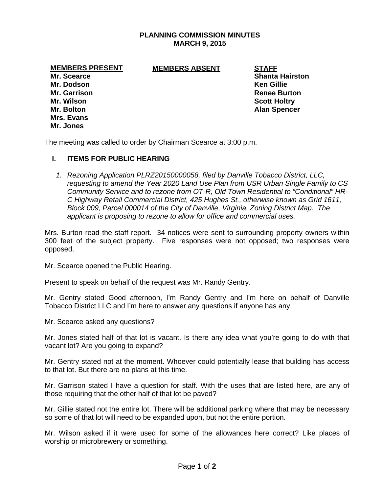# **PLANNING COMMISSION MINUTES MARCH 9, 2015**

### **MEMBERS PRESENT MEMBERS ABSENT STAFF**

**Mr. Dodson Ken Gillie Mr. Garrison Renee Burton Renee Burton Renee Burton Mr. Wilson Scott Holtry Mr. Bolton Alan Spencer Alan Spencer Alan Spencer Alan Spencer Mrs. Evans Mr. Jones** 

**Mr. Scearce Shanta Hairston Shanta Hairston Shanta Hairston** 

The meeting was called to order by Chairman Scearce at 3:00 p.m.

## **I. ITEMS FOR PUBLIC HEARING**

*1. Rezoning Application PLRZ20150000058, filed by Danville Tobacco District, LLC, requesting to amend the Year 2020 Land Use Plan from USR Urban Single Family to CS Community Service and to rezone from OT-R, Old Town Residential to "Conditional" HR-C Highway Retail Commercial District, 425 Hughes St., otherwise known as Grid 1611, Block 009, Parcel 000014 of the City of Danville, Virginia, Zoning District Map. The applicant is proposing to rezone to allow for office and commercial uses.* 

Mrs. Burton read the staff report. 34 notices were sent to surrounding property owners within 300 feet of the subject property. Five responses were not opposed; two responses were opposed.

Mr. Scearce opened the Public Hearing.

Present to speak on behalf of the request was Mr. Randy Gentry.

Mr. Gentry stated Good afternoon, I'm Randy Gentry and I'm here on behalf of Danville Tobacco District LLC and I'm here to answer any questions if anyone has any.

Mr. Scearce asked any questions?

Mr. Jones stated half of that lot is vacant. Is there any idea what you're going to do with that vacant lot? Are you going to expand?

Mr. Gentry stated not at the moment. Whoever could potentially lease that building has access to that lot. But there are no plans at this time.

Mr. Garrison stated I have a question for staff. With the uses that are listed here, are any of those requiring that the other half of that lot be paved?

Mr. Gillie stated not the entire lot. There will be additional parking where that may be necessary so some of that lot will need to be expanded upon, but not the entire portion.

Mr. Wilson asked if it were used for some of the allowances here correct? Like places of worship or microbrewery or something.